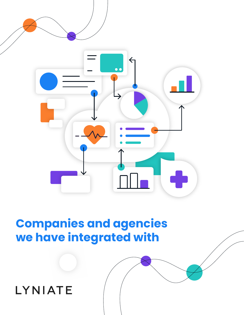

## **Companies and agencies we have integrated with**

## LYNIATE